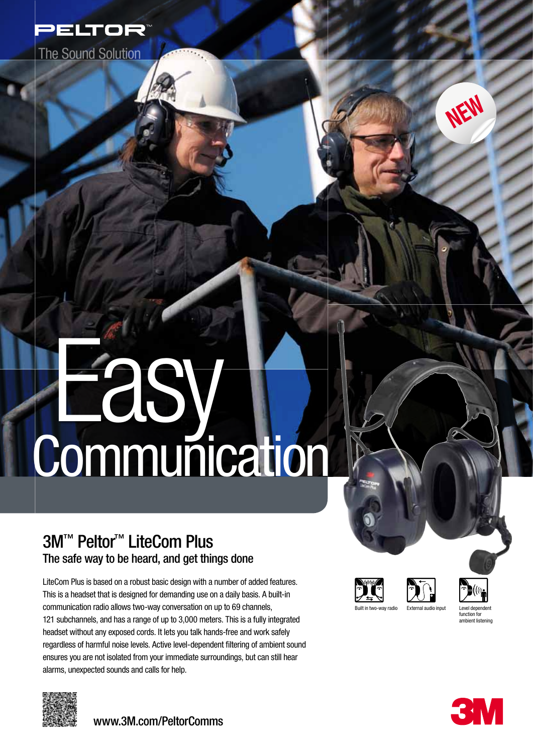

**The Sound Solution** 

# Easy. **Communication**

# 3M<sup>™</sup> Peltor<sup>™</sup> LiteCom Plus The safe way to be heard, and get things done

LiteCom Plus is based on a robust basic design with a number of added features. This is a headset that is designed for demanding use on a daily basis. A built-in communication radio allows two-way conversation on up to 69 channels, 121 subchannels, and has a range of up to 3,000 meters. This is a fully integrated headset without any exposed cords. It lets you talk hands-free and work safely regardless of harmful noise levels. Active level-dependent filtering of ambient sound ensures you are not isolated from your immediate surroundings, but can still hear alarms, unexpected sounds and calls for help.









amhient liste

NEW